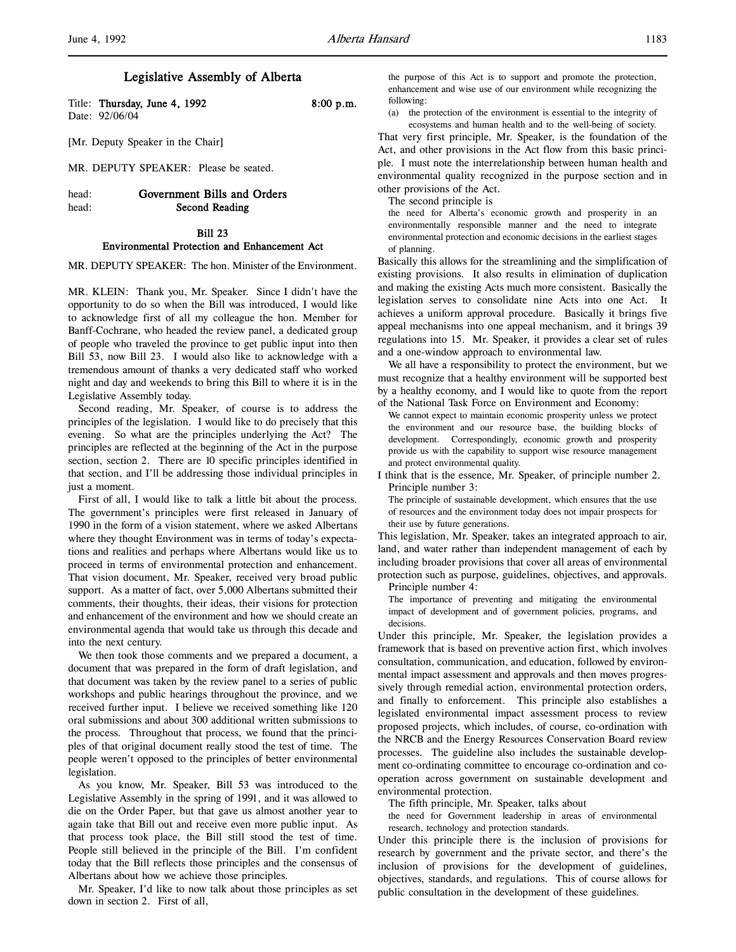Title: Thursday, June 4, 1992 8:00 p.m. Date: 92/06/04

[Mr. Deputy Speaker in the Chair]

MR. DEPUTY SPEAKER: Please be seated.

head: Government Bills and Orders head: Second Reading

# Bill 23

## Environmental Protection and Enhancement Act

MR. DEPUTY SPEAKER: The hon. Minister of the Environment.

MR. KLEIN: Thank you, Mr. Speaker. Since I didn't have the opportunity to do so when the Bill was introduced, I would like to acknowledge first of all my colleague the hon. Member for Banff-Cochrane, who headed the review panel, a dedicated group of people who traveled the province to get public input into then Bill 53, now Bill 23. I would also like to acknowledge with a tremendous amount of thanks a very dedicated staff who worked night and day and weekends to bring this Bill to where it is in the Legislative Assembly today.

Second reading, Mr. Speaker, of course is to address the principles of the legislation. I would like to do precisely that this evening. So what are the principles underlying the Act? The principles are reflected at the beginning of the Act in the purpose section, section 2. There are 10 specific principles identified in that section, and I'll be addressing those individual principles in just a moment.

First of all, I would like to talk a little bit about the process. The government's principles were first released in January of 1990 in the form of a vision statement, where we asked Albertans where they thought Environment was in terms of today's expectations and realities and perhaps where Albertans would like us to proceed in terms of environmental protection and enhancement. That vision document, Mr. Speaker, received very broad public support. As a matter of fact, over 5,000 Albertans submitted their comments, their thoughts, their ideas, their visions for protection and enhancement of the environment and how we should create an environmental agenda that would take us through this decade and into the next century.

We then took those comments and we prepared a document, a document that was prepared in the form of draft legislation, and that document was taken by the review panel to a series of public workshops and public hearings throughout the province, and we received further input. I believe we received something like 120 oral submissions and about 300 additional written submissions to the process. Throughout that process, we found that the principles of that original document really stood the test of time. The people weren't opposed to the principles of better environmental legislation.

As you know, Mr. Speaker, Bill 53 was introduced to the Legislative Assembly in the spring of 1991, and it was allowed to die on the Order Paper, but that gave us almost another year to again take that Bill out and receive even more public input. As that process took place, the Bill still stood the test of time. People still believed in the principle of the Bill. I'm confident today that the Bill reflects those principles and the consensus of Albertans about how we achieve those principles.

Mr. Speaker, I'd like to now talk about those principles as set down in section 2. First of all,

the purpose of this Act is to support and promote the protection, enhancement and wise use of our environment while recognizing the following:

(a) the protection of the environment is essential to the integrity of

ecosystems and human health and to the well-being of society. That very first principle, Mr. Speaker, is the foundation of the Act, and other provisions in the Act flow from this basic principle. I must note the interrelationship between human health and environmental quality recognized in the purpose section and in other provisions of the Act.

The second principle is

the need for Alberta's economic growth and prosperity in an environmentally responsible manner and the need to integrate environmental protection and economic decisions in the earliest stages of planning.

Basically this allows for the streamlining and the simplification of existing provisions. It also results in elimination of duplication and making the existing Acts much more consistent. Basically the legislation serves to consolidate nine Acts into one Act. It achieves a uniform approval procedure. Basically it brings five appeal mechanisms into one appeal mechanism, and it brings 39 regulations into 15. Mr. Speaker, it provides a clear set of rules and a one-window approach to environmental law.

We all have a responsibility to protect the environment, but we must recognize that a healthy environment will be supported best by a healthy economy, and I would like to quote from the report of the National Task Force on Environment and Economy:

We cannot expect to maintain economic prosperity unless we protect the environment and our resource base, the building blocks of development. Correspondingly, economic growth and prosperity provide us with the capability to support wise resource management and protect environmental quality.

I think that is the essence, Mr. Speaker, of principle number 2. Principle number 3:

The principle of sustainable development, which ensures that the use of resources and the environment today does not impair prospects for their use by future generations.

This legislation, Mr. Speaker, takes an integrated approach to air, land, and water rather than independent management of each by including broader provisions that cover all areas of environmental protection such as purpose, guidelines, objectives, and approvals.

Principle number 4:

The importance of preventing and mitigating the environmental impact of development and of government policies, programs, and decisions.

Under this principle, Mr. Speaker, the legislation provides a framework that is based on preventive action first, which involves consultation, communication, and education, followed by environmental impact assessment and approvals and then moves progressively through remedial action, environmental protection orders, and finally to enforcement. This principle also establishes a legislated environmental impact assessment process to review proposed projects, which includes, of course, co-ordination with the NRCB and the Energy Resources Conservation Board review processes. The guideline also includes the sustainable development co-ordinating committee to encourage co-ordination and cooperation across government on sustainable development and environmental protection.

The fifth principle, Mr. Speaker, talks about

the need for Government leadership in areas of environmental research, technology and protection standards.

Under this principle there is the inclusion of provisions for research by government and the private sector, and there's the inclusion of provisions for the development of guidelines, objectives, standards, and regulations. This of course allows for public consultation in the development of these guidelines.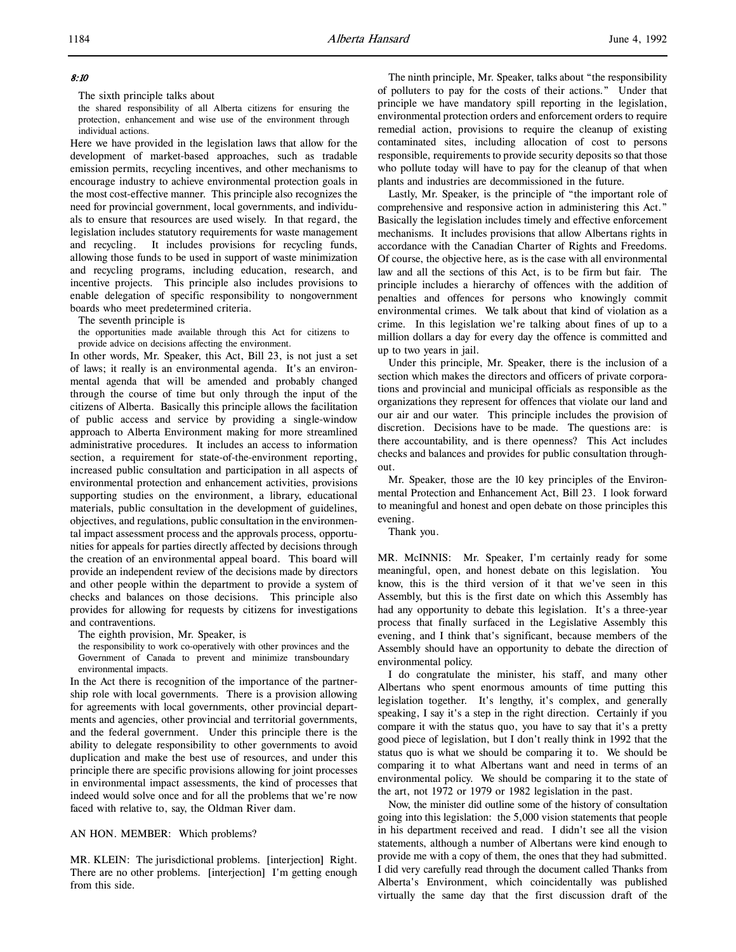# 8:10

The sixth principle talks about

the shared responsibility of all Alberta citizens for ensuring the protection, enhancement and wise use of the environment through individual actions.

Here we have provided in the legislation laws that allow for the development of market-based approaches, such as tradable emission permits, recycling incentives, and other mechanisms to encourage industry to achieve environmental protection goals in the most cost-effective manner. This principle also recognizes the need for provincial government, local governments, and individuals to ensure that resources are used wisely. In that regard, the legislation includes statutory requirements for waste management and recycling. It includes provisions for recycling funds, allowing those funds to be used in support of waste minimization and recycling programs, including education, research, and incentive projects. This principle also includes provisions to enable delegation of specific responsibility to nongovernment boards who meet predetermined criteria.

The seventh principle is

the opportunities made available through this Act for citizens to provide advice on decisions affecting the environment.

In other words, Mr. Speaker, this Act, Bill 23, is not just a set of laws; it really is an environmental agenda. It's an environmental agenda that will be amended and probably changed through the course of time but only through the input of the citizens of Alberta. Basically this principle allows the facilitation of public access and service by providing a single-window approach to Alberta Environment making for more streamlined administrative procedures. It includes an access to information section, a requirement for state-of-the-environment reporting, increased public consultation and participation in all aspects of environmental protection and enhancement activities, provisions supporting studies on the environment, a library, educational materials, public consultation in the development of guidelines, objectives, and regulations, public consultation in the environmental impact assessment process and the approvals process, opportunities for appeals for parties directly affected by decisions through the creation of an environmental appeal board. This board will provide an independent review of the decisions made by directors and other people within the department to provide a system of checks and balances on those decisions. This principle also provides for allowing for requests by citizens for investigations and contraventions.

The eighth provision, Mr. Speaker, is

the responsibility to work co-operatively with other provinces and the Government of Canada to prevent and minimize transboundary environmental impacts.

In the Act there is recognition of the importance of the partnership role with local governments. There is a provision allowing for agreements with local governments, other provincial departments and agencies, other provincial and territorial governments, and the federal government. Under this principle there is the ability to delegate responsibility to other governments to avoid duplication and make the best use of resources, and under this principle there are specific provisions allowing for joint processes in environmental impact assessments, the kind of processes that indeed would solve once and for all the problems that we're now faced with relative to, say, the Oldman River dam.

## AN HON. MEMBER: Which problems?

MR. KLEIN: The jurisdictional problems. [interjection] Right. There are no other problems. [interjection] I'm getting enough from this side.

The ninth principle, Mr. Speaker, talks about "the responsibility of polluters to pay for the costs of their actions." Under that principle we have mandatory spill reporting in the legislation, environmental protection orders and enforcement orders to require remedial action, provisions to require the cleanup of existing contaminated sites, including allocation of cost to persons responsible, requirements to provide security deposits so that those who pollute today will have to pay for the cleanup of that when plants and industries are decommissioned in the future.

Lastly, Mr. Speaker, is the principle of "the important role of comprehensive and responsive action in administering this Act." Basically the legislation includes timely and effective enforcement mechanisms. It includes provisions that allow Albertans rights in accordance with the Canadian Charter of Rights and Freedoms. Of course, the objective here, as is the case with all environmental law and all the sections of this Act, is to be firm but fair. The principle includes a hierarchy of offences with the addition of penalties and offences for persons who knowingly commit environmental crimes. We talk about that kind of violation as a crime. In this legislation we're talking about fines of up to a million dollars a day for every day the offence is committed and up to two years in jail.

Under this principle, Mr. Speaker, there is the inclusion of a section which makes the directors and officers of private corporations and provincial and municipal officials as responsible as the organizations they represent for offences that violate our land and our air and our water. This principle includes the provision of discretion. Decisions have to be made. The questions are: is there accountability, and is there openness? This Act includes checks and balances and provides for public consultation throughout.

Mr. Speaker, those are the 10 key principles of the Environmental Protection and Enhancement Act, Bill 23. I look forward to meaningful and honest and open debate on those principles this evening.

Thank you.

MR. McINNIS: Mr. Speaker, I'm certainly ready for some meaningful, open, and honest debate on this legislation. You know, this is the third version of it that we've seen in this Assembly, but this is the first date on which this Assembly has had any opportunity to debate this legislation. It's a three-year process that finally surfaced in the Legislative Assembly this evening, and I think that's significant, because members of the Assembly should have an opportunity to debate the direction of environmental policy.

I do congratulate the minister, his staff, and many other Albertans who spent enormous amounts of time putting this legislation together. It's lengthy, it's complex, and generally speaking, I say it's a step in the right direction. Certainly if you compare it with the status quo, you have to say that it's a pretty good piece of legislation, but I don't really think in 1992 that the status quo is what we should be comparing it to. We should be comparing it to what Albertans want and need in terms of an environmental policy. We should be comparing it to the state of the art, not 1972 or 1979 or 1982 legislation in the past.

Now, the minister did outline some of the history of consultation going into this legislation: the 5,000 vision statements that people in his department received and read. I didn't see all the vision statements, although a number of Albertans were kind enough to provide me with a copy of them, the ones that they had submitted. I did very carefully read through the document called Thanks from Alberta's Environment, which coincidentally was published virtually the same day that the first discussion draft of the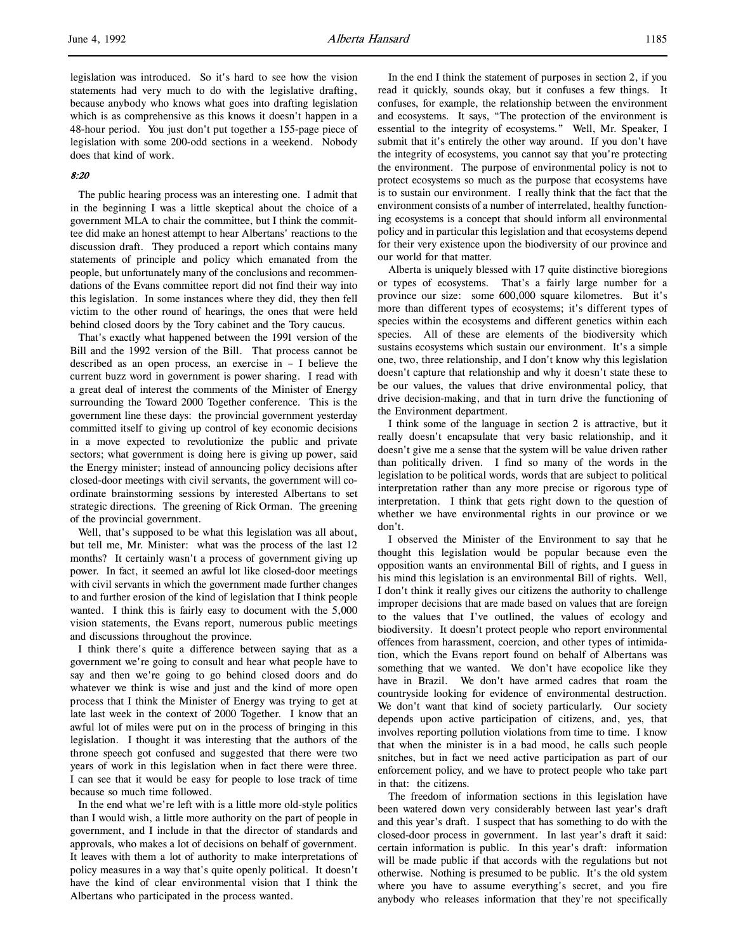legislation was introduced. So it's hard to see how the vision statements had very much to do with the legislative drafting, because anybody who knows what goes into drafting legislation which is as comprehensive as this knows it doesn't happen in a 48-hour period. You just don't put together a 155-page piece of legislation with some 200-odd sections in a weekend. Nobody does that kind of work.

# 8:20

The public hearing process was an interesting one. I admit that in the beginning I was a little skeptical about the choice of a government MLA to chair the committee, but I think the committee did make an honest attempt to hear Albertans' reactions to the discussion draft. They produced a report which contains many statements of principle and policy which emanated from the people, but unfortunately many of the conclusions and recommendations of the Evans committee report did not find their way into this legislation. In some instances where they did, they then fell victim to the other round of hearings, the ones that were held behind closed doors by the Tory cabinet and the Tory caucus.

That's exactly what happened between the 1991 version of the Bill and the 1992 version of the Bill. That process cannot be described as an open process, an exercise in – I believe the current buzz word in government is power sharing. I read with a great deal of interest the comments of the Minister of Energy surrounding the Toward 2000 Together conference. This is the government line these days: the provincial government yesterday committed itself to giving up control of key economic decisions in a move expected to revolutionize the public and private sectors; what government is doing here is giving up power, said the Energy minister; instead of announcing policy decisions after closed-door meetings with civil servants, the government will coordinate brainstorming sessions by interested Albertans to set strategic directions. The greening of Rick Orman. The greening of the provincial government.

Well, that's supposed to be what this legislation was all about, but tell me, Mr. Minister: what was the process of the last 12 months? It certainly wasn't a process of government giving up power. In fact, it seemed an awful lot like closed-door meetings with civil servants in which the government made further changes to and further erosion of the kind of legislation that I think people wanted. I think this is fairly easy to document with the 5,000 vision statements, the Evans report, numerous public meetings and discussions throughout the province.

I think there's quite a difference between saying that as a government we're going to consult and hear what people have to say and then we're going to go behind closed doors and do whatever we think is wise and just and the kind of more open process that I think the Minister of Energy was trying to get at late last week in the context of 2000 Together. I know that an awful lot of miles were put on in the process of bringing in this legislation. I thought it was interesting that the authors of the throne speech got confused and suggested that there were two years of work in this legislation when in fact there were three. I can see that it would be easy for people to lose track of time because so much time followed.

In the end what we're left with is a little more old-style politics than I would wish, a little more authority on the part of people in government, and I include in that the director of standards and approvals, who makes a lot of decisions on behalf of government. It leaves with them a lot of authority to make interpretations of policy measures in a way that's quite openly political. It doesn't have the kind of clear environmental vision that I think the Albertans who participated in the process wanted.

In the end I think the statement of purposes in section 2, if you read it quickly, sounds okay, but it confuses a few things. It confuses, for example, the relationship between the environment and ecosystems. It says, "The protection of the environment is essential to the integrity of ecosystems." Well, Mr. Speaker, I submit that it's entirely the other way around. If you don't have the integrity of ecosystems, you cannot say that you're protecting the environment. The purpose of environmental policy is not to protect ecosystems so much as the purpose that ecosystems have is to sustain our environment. I really think that the fact that the environment consists of a number of interrelated, healthy functioning ecosystems is a concept that should inform all environmental policy and in particular this legislation and that ecosystems depend for their very existence upon the biodiversity of our province and our world for that matter.

Alberta is uniquely blessed with 17 quite distinctive bioregions or types of ecosystems. That's a fairly large number for a province our size: some 600,000 square kilometres. But it's more than different types of ecosystems; it's different types of species within the ecosystems and different genetics within each species. All of these are elements of the biodiversity which sustains ecosystems which sustain our environment. It's a simple one, two, three relationship, and I don't know why this legislation doesn't capture that relationship and why it doesn't state these to be our values, the values that drive environmental policy, that drive decision-making, and that in turn drive the functioning of the Environment department.

I think some of the language in section 2 is attractive, but it really doesn't encapsulate that very basic relationship, and it doesn't give me a sense that the system will be value driven rather than politically driven. I find so many of the words in the legislation to be political words, words that are subject to political interpretation rather than any more precise or rigorous type of interpretation. I think that gets right down to the question of whether we have environmental rights in our province or we don't.

I observed the Minister of the Environment to say that he thought this legislation would be popular because even the opposition wants an environmental Bill of rights, and I guess in his mind this legislation is an environmental Bill of rights. Well, I don't think it really gives our citizens the authority to challenge improper decisions that are made based on values that are foreign to the values that I've outlined, the values of ecology and biodiversity. It doesn't protect people who report environmental offences from harassment, coercion, and other types of intimidation, which the Evans report found on behalf of Albertans was something that we wanted. We don't have ecopolice like they have in Brazil. We don't have armed cadres that roam the countryside looking for evidence of environmental destruction. We don't want that kind of society particularly. Our society depends upon active participation of citizens, and, yes, that involves reporting pollution violations from time to time. I know that when the minister is in a bad mood, he calls such people snitches, but in fact we need active participation as part of our enforcement policy, and we have to protect people who take part in that: the citizens.

The freedom of information sections in this legislation have been watered down very considerably between last year's draft and this year's draft. I suspect that has something to do with the closed-door process in government. In last year's draft it said: certain information is public. In this year's draft: information will be made public if that accords with the regulations but not otherwise. Nothing is presumed to be public. It's the old system where you have to assume everything's secret, and you fire anybody who releases information that they're not specifically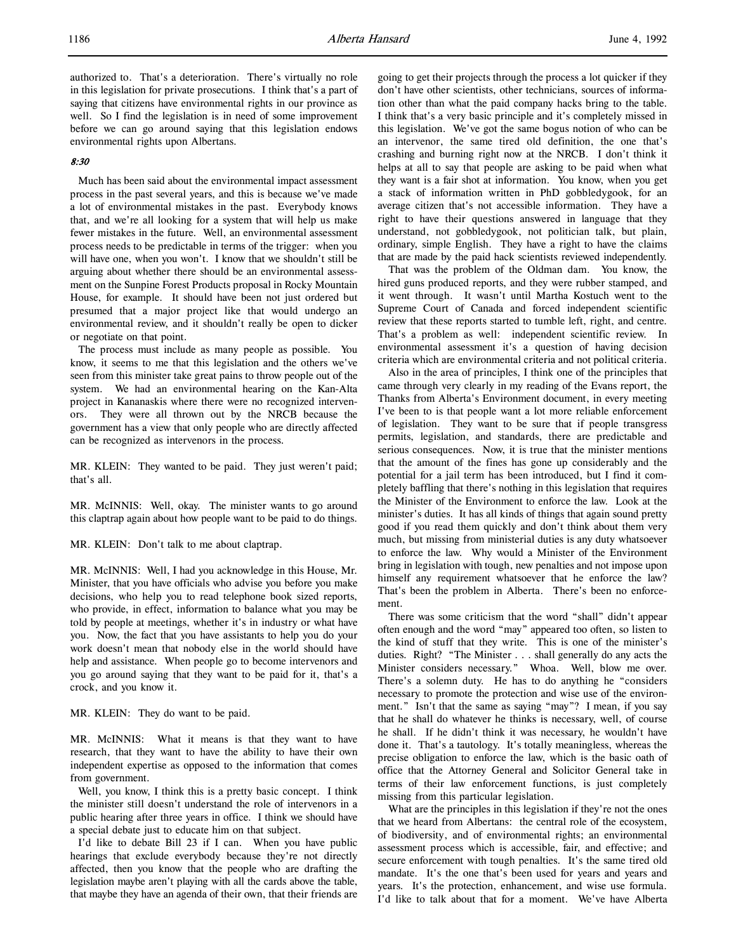authorized to. That's a deterioration. There's virtually no role in this legislation for private prosecutions. I think that's a part of saying that citizens have environmental rights in our province as well. So I find the legislation is in need of some improvement before we can go around saying that this legislation endows environmental rights upon Albertans.

# 8:30

Much has been said about the environmental impact assessment process in the past several years, and this is because we've made a lot of environmental mistakes in the past. Everybody knows that, and we're all looking for a system that will help us make fewer mistakes in the future. Well, an environmental assessment process needs to be predictable in terms of the trigger: when you will have one, when you won't. I know that we shouldn't still be arguing about whether there should be an environmental assessment on the Sunpine Forest Products proposal in Rocky Mountain House, for example. It should have been not just ordered but presumed that a major project like that would undergo an environmental review, and it shouldn't really be open to dicker or negotiate on that point.

The process must include as many people as possible. You know, it seems to me that this legislation and the others we've seen from this minister take great pains to throw people out of the system. We had an environmental hearing on the Kan-Alta project in Kananaskis where there were no recognized intervenors. They were all thrown out by the NRCB because the government has a view that only people who are directly affected can be recognized as intervenors in the process.

MR. KLEIN: They wanted to be paid. They just weren't paid; that's all.

MR. McINNIS: Well, okay. The minister wants to go around this claptrap again about how people want to be paid to do things.

MR. KLEIN: Don't talk to me about claptrap.

MR. McINNIS: Well, I had you acknowledge in this House, Mr. Minister, that you have officials who advise you before you make decisions, who help you to read telephone book sized reports, who provide, in effect, information to balance what you may be told by people at meetings, whether it's in industry or what have you. Now, the fact that you have assistants to help you do your work doesn't mean that nobody else in the world should have help and assistance. When people go to become intervenors and you go around saying that they want to be paid for it, that's a crock, and you know it.

MR. KLEIN: They do want to be paid.

MR. McINNIS: What it means is that they want to have research, that they want to have the ability to have their own independent expertise as opposed to the information that comes from government.

Well, you know, I think this is a pretty basic concept. I think the minister still doesn't understand the role of intervenors in a public hearing after three years in office. I think we should have a special debate just to educate him on that subject.

I'd like to debate Bill 23 if I can. When you have public hearings that exclude everybody because they're not directly affected, then you know that the people who are drafting the legislation maybe aren't playing with all the cards above the table, that maybe they have an agenda of their own, that their friends are going to get their projects through the process a lot quicker if they don't have other scientists, other technicians, sources of information other than what the paid company hacks bring to the table. I think that's a very basic principle and it's completely missed in this legislation. We've got the same bogus notion of who can be an intervenor, the same tired old definition, the one that's crashing and burning right now at the NRCB. I don't think it helps at all to say that people are asking to be paid when what they want is a fair shot at information. You know, when you get a stack of information written in PhD gobbledygook, for an average citizen that's not accessible information. They have a right to have their questions answered in language that they understand, not gobbledygook, not politician talk, but plain, ordinary, simple English. They have a right to have the claims that are made by the paid hack scientists reviewed independently.

That was the problem of the Oldman dam. You know, the hired guns produced reports, and they were rubber stamped, and it went through. It wasn't until Martha Kostuch went to the Supreme Court of Canada and forced independent scientific review that these reports started to tumble left, right, and centre. That's a problem as well: independent scientific review. In environmental assessment it's a question of having decision criteria which are environmental criteria and not political criteria.

Also in the area of principles, I think one of the principles that came through very clearly in my reading of the Evans report, the Thanks from Alberta's Environment document, in every meeting I've been to is that people want a lot more reliable enforcement of legislation. They want to be sure that if people transgress permits, legislation, and standards, there are predictable and serious consequences. Now, it is true that the minister mentions that the amount of the fines has gone up considerably and the potential for a jail term has been introduced, but I find it completely baffling that there's nothing in this legislation that requires the Minister of the Environment to enforce the law. Look at the minister's duties. It has all kinds of things that again sound pretty good if you read them quickly and don't think about them very much, but missing from ministerial duties is any duty whatsoever to enforce the law. Why would a Minister of the Environment bring in legislation with tough, new penalties and not impose upon himself any requirement whatsoever that he enforce the law? That's been the problem in Alberta. There's been no enforcement.

There was some criticism that the word "shall" didn't appear often enough and the word "may" appeared too often, so listen to the kind of stuff that they write. This is one of the minister's duties. Right? "The Minister . . . shall generally do any acts the Minister considers necessary." Whoa. Well, blow me over. There's a solemn duty. He has to do anything he "considers necessary to promote the protection and wise use of the environment." Isn't that the same as saying "may"? I mean, if you say that he shall do whatever he thinks is necessary, well, of course he shall. If he didn't think it was necessary, he wouldn't have done it. That's a tautology. It's totally meaningless, whereas the precise obligation to enforce the law, which is the basic oath of office that the Attorney General and Solicitor General take in terms of their law enforcement functions, is just completely missing from this particular legislation.

What are the principles in this legislation if they're not the ones that we heard from Albertans: the central role of the ecosystem, of biodiversity, and of environmental rights; an environmental assessment process which is accessible, fair, and effective; and secure enforcement with tough penalties. It's the same tired old mandate. It's the one that's been used for years and years and years. It's the protection, enhancement, and wise use formula. I'd like to talk about that for a moment. We've have Alberta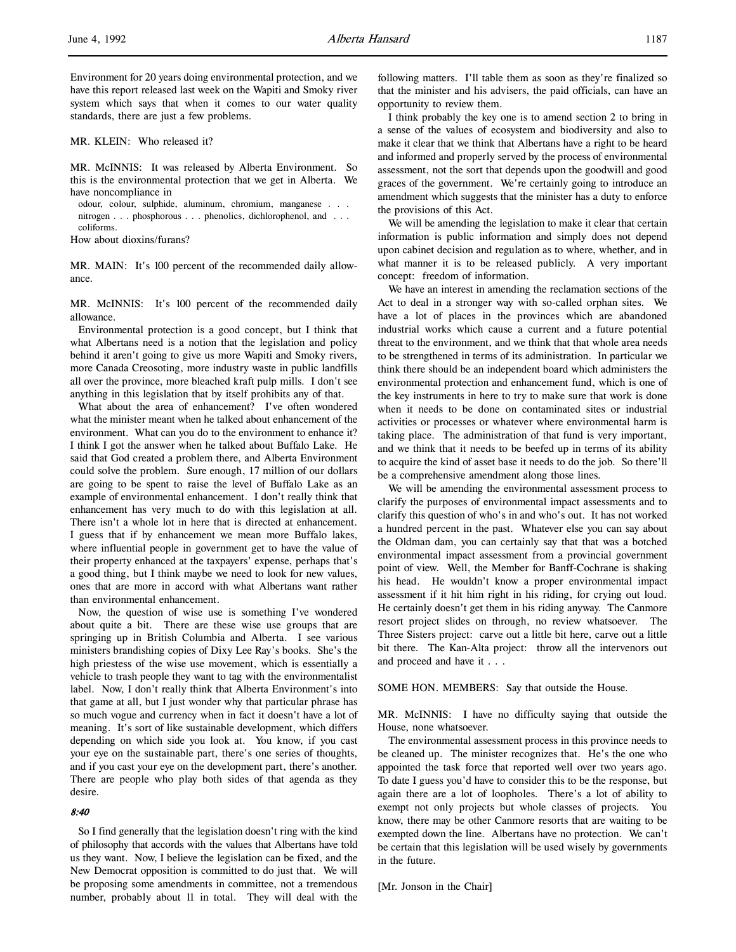Environment for 20 years doing environmental protection, and we have this report released last week on the Wapiti and Smoky river system which says that when it comes to our water quality standards, there are just a few problems.

MR. KLEIN: Who released it?

MR. McINNIS: It was released by Alberta Environment. So this is the environmental protection that we get in Alberta. We have noncompliance in

odour, colour, sulphide, aluminum, chromium, manganese . . . nitrogen . . . phosphorous . . . phenolics, dichlorophenol, and . . . coliforms.

How about dioxins/furans?

MR. MAIN: It's 100 percent of the recommended daily allowance.

MR. McINNIS: It's 100 percent of the recommended daily allowance.

Environmental protection is a good concept, but I think that what Albertans need is a notion that the legislation and policy behind it aren't going to give us more Wapiti and Smoky rivers, more Canada Creosoting, more industry waste in public landfills all over the province, more bleached kraft pulp mills. I don't see anything in this legislation that by itself prohibits any of that.

What about the area of enhancement? I've often wondered what the minister meant when he talked about enhancement of the environment. What can you do to the environment to enhance it? I think I got the answer when he talked about Buffalo Lake. He said that God created a problem there, and Alberta Environment could solve the problem. Sure enough, 17 million of our dollars are going to be spent to raise the level of Buffalo Lake as an example of environmental enhancement. I don't really think that enhancement has very much to do with this legislation at all. There isn't a whole lot in here that is directed at enhancement. I guess that if by enhancement we mean more Buffalo lakes, where influential people in government get to have the value of their property enhanced at the taxpayers' expense, perhaps that's a good thing, but I think maybe we need to look for new values, ones that are more in accord with what Albertans want rather than environmental enhancement.

Now, the question of wise use is something I've wondered about quite a bit. There are these wise use groups that are springing up in British Columbia and Alberta. I see various ministers brandishing copies of Dixy Lee Ray's books. She's the high priestess of the wise use movement, which is essentially a vehicle to trash people they want to tag with the environmentalist label. Now, I don't really think that Alberta Environment's into that game at all, but I just wonder why that particular phrase has so much vogue and currency when in fact it doesn't have a lot of meaning. It's sort of like sustainable development, which differs depending on which side you look at. You know, if you cast your eye on the sustainable part, there's one series of thoughts, and if you cast your eye on the development part, there's another. There are people who play both sides of that agenda as they desire.

#### 8:40

So I find generally that the legislation doesn't ring with the kind of philosophy that accords with the values that Albertans have told us they want. Now, I believe the legislation can be fixed, and the New Democrat opposition is committed to do just that. We will be proposing some amendments in committee, not a tremendous number, probably about 11 in total. They will deal with the

following matters. I'll table them as soon as they're finalized so that the minister and his advisers, the paid officials, can have an opportunity to review them.

I think probably the key one is to amend section 2 to bring in a sense of the values of ecosystem and biodiversity and also to make it clear that we think that Albertans have a right to be heard and informed and properly served by the process of environmental assessment, not the sort that depends upon the goodwill and good graces of the government. We're certainly going to introduce an amendment which suggests that the minister has a duty to enforce the provisions of this Act.

We will be amending the legislation to make it clear that certain information is public information and simply does not depend upon cabinet decision and regulation as to where, whether, and in what manner it is to be released publicly. A very important concept: freedom of information.

We have an interest in amending the reclamation sections of the Act to deal in a stronger way with so-called orphan sites. We have a lot of places in the provinces which are abandoned industrial works which cause a current and a future potential threat to the environment, and we think that that whole area needs to be strengthened in terms of its administration. In particular we think there should be an independent board which administers the environmental protection and enhancement fund, which is one of the key instruments in here to try to make sure that work is done when it needs to be done on contaminated sites or industrial activities or processes or whatever where environmental harm is taking place. The administration of that fund is very important, and we think that it needs to be beefed up in terms of its ability to acquire the kind of asset base it needs to do the job. So there'll be a comprehensive amendment along those lines.

We will be amending the environmental assessment process to clarify the purposes of environmental impact assessments and to clarify this question of who's in and who's out. It has not worked a hundred percent in the past. Whatever else you can say about the Oldman dam, you can certainly say that that was a botched environmental impact assessment from a provincial government point of view. Well, the Member for Banff-Cochrane is shaking his head. He wouldn't know a proper environmental impact assessment if it hit him right in his riding, for crying out loud. He certainly doesn't get them in his riding anyway. The Canmore resort project slides on through, no review whatsoever. The Three Sisters project: carve out a little bit here, carve out a little bit there. The Kan-Alta project: throw all the intervenors out and proceed and have it . . .

SOME HON. MEMBERS: Say that outside the House.

MR. McINNIS: I have no difficulty saying that outside the House, none whatsoever.

The environmental assessment process in this province needs to be cleaned up. The minister recognizes that. He's the one who appointed the task force that reported well over two years ago. To date I guess you'd have to consider this to be the response, but again there are a lot of loopholes. There's a lot of ability to exempt not only projects but whole classes of projects. You know, there may be other Canmore resorts that are waiting to be exempted down the line. Albertans have no protection. We can't be certain that this legislation will be used wisely by governments in the future.

[Mr. Jonson in the Chair]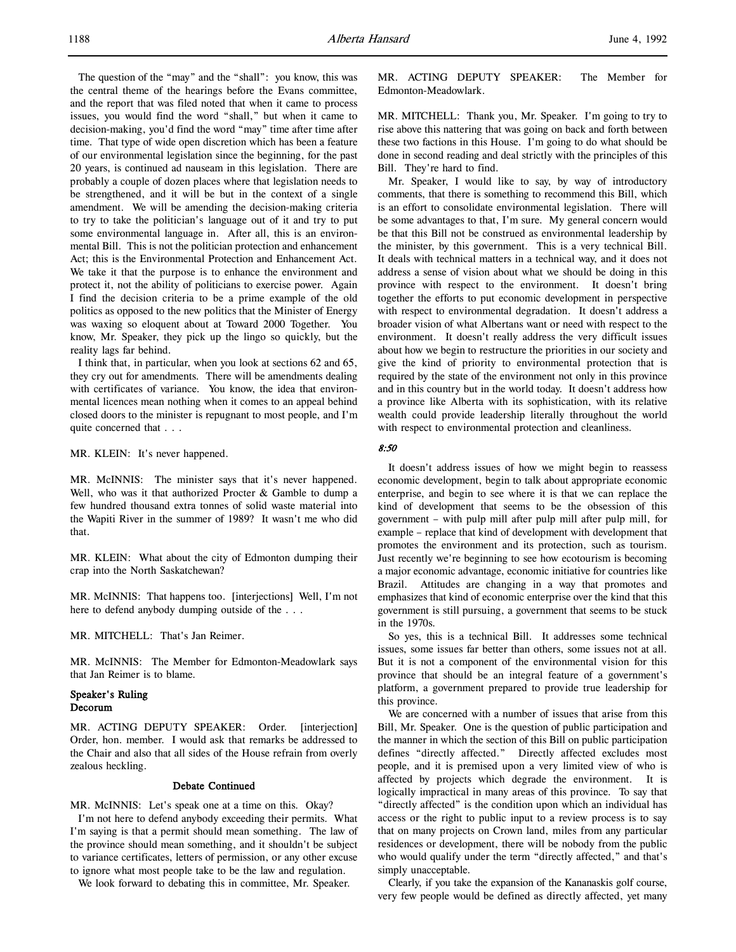The question of the "may" and the "shall": you know, this was the central theme of the hearings before the Evans committee, and the report that was filed noted that when it came to process issues, you would find the word "shall," but when it came to decision-making, you'd find the word "may" time after time after time. That type of wide open discretion which has been a feature of our environmental legislation since the beginning, for the past 20 years, is continued ad nauseam in this legislation. There are probably a couple of dozen places where that legislation needs to be strengthened, and it will be but in the context of a single amendment. We will be amending the decision-making criteria to try to take the politician's language out of it and try to put some environmental language in. After all, this is an environmental Bill. This is not the politician protection and enhancement Act; this is the Environmental Protection and Enhancement Act. We take it that the purpose is to enhance the environment and protect it, not the ability of politicians to exercise power. Again I find the decision criteria to be a prime example of the old politics as opposed to the new politics that the Minister of Energy was waxing so eloquent about at Toward 2000 Together. You know, Mr. Speaker, they pick up the lingo so quickly, but the reality lags far behind.

I think that, in particular, when you look at sections 62 and 65, they cry out for amendments. There will be amendments dealing with certificates of variance. You know, the idea that environmental licences mean nothing when it comes to an appeal behind closed doors to the minister is repugnant to most people, and I'm quite concerned that . . .

MR. KLEIN: It's never happened.

MR. McINNIS: The minister says that it's never happened. Well, who was it that authorized Procter & Gamble to dump a few hundred thousand extra tonnes of solid waste material into the Wapiti River in the summer of 1989? It wasn't me who did that.

MR. KLEIN: What about the city of Edmonton dumping their crap into the North Saskatchewan?

MR. McINNIS: That happens too. [interjections] Well, I'm not here to defend anybody dumping outside of the . . .

MR. MITCHELL: That's Jan Reimer.

MR. McINNIS: The Member for Edmonton-Meadowlark says that Jan Reimer is to blame.

### Speaker's Ruling Decorum

MR. ACTING DEPUTY SPEAKER: Order. [interjection] Order, hon. member. I would ask that remarks be addressed to the Chair and also that all sides of the House refrain from overly zealous heckling.

#### Debate Continued

MR. McINNIS: Let's speak one at a time on this. Okay?

I'm not here to defend anybody exceeding their permits. What I'm saying is that a permit should mean something. The law of the province should mean something, and it shouldn't be subject to variance certificates, letters of permission, or any other excuse to ignore what most people take to be the law and regulation.

We look forward to debating this in committee, Mr. Speaker.

MR. ACTING DEPUTY SPEAKER: The Member for Edmonton-Meadowlark.

MR. MITCHELL: Thank you, Mr. Speaker. I'm going to try to rise above this nattering that was going on back and forth between these two factions in this House. I'm going to do what should be done in second reading and deal strictly with the principles of this Bill. They're hard to find.

Mr. Speaker, I would like to say, by way of introductory comments, that there is something to recommend this Bill, which is an effort to consolidate environmental legislation. There will be some advantages to that, I'm sure. My general concern would be that this Bill not be construed as environmental leadership by the minister, by this government. This is a very technical Bill. It deals with technical matters in a technical way, and it does not address a sense of vision about what we should be doing in this province with respect to the environment. It doesn't bring together the efforts to put economic development in perspective with respect to environmental degradation. It doesn't address a broader vision of what Albertans want or need with respect to the environment. It doesn't really address the very difficult issues about how we begin to restructure the priorities in our society and give the kind of priority to environmental protection that is required by the state of the environment not only in this province and in this country but in the world today. It doesn't address how a province like Alberta with its sophistication, with its relative wealth could provide leadership literally throughout the world with respect to environmental protection and cleanliness.

### 8:50

It doesn't address issues of how we might begin to reassess economic development, begin to talk about appropriate economic enterprise, and begin to see where it is that we can replace the kind of development that seems to be the obsession of this government – with pulp mill after pulp mill after pulp mill, for example – replace that kind of development with development that promotes the environment and its protection, such as tourism. Just recently we're beginning to see how ecotourism is becoming a major economic advantage, economic initiative for countries like Brazil. Attitudes are changing in a way that promotes and emphasizes that kind of economic enterprise over the kind that this government is still pursuing, a government that seems to be stuck in the 1970s.

So yes, this is a technical Bill. It addresses some technical issues, some issues far better than others, some issues not at all. But it is not a component of the environmental vision for this province that should be an integral feature of a government's platform, a government prepared to provide true leadership for this province.

We are concerned with a number of issues that arise from this Bill, Mr. Speaker. One is the question of public participation and the manner in which the section of this Bill on public participation defines "directly affected." Directly affected excludes most people, and it is premised upon a very limited view of who is affected by projects which degrade the environment. It is logically impractical in many areas of this province. To say that "directly affected" is the condition upon which an individual has access or the right to public input to a review process is to say that on many projects on Crown land, miles from any particular residences or development, there will be nobody from the public who would qualify under the term "directly affected," and that's simply unacceptable.

Clearly, if you take the expansion of the Kananaskis golf course, very few people would be defined as directly affected, yet many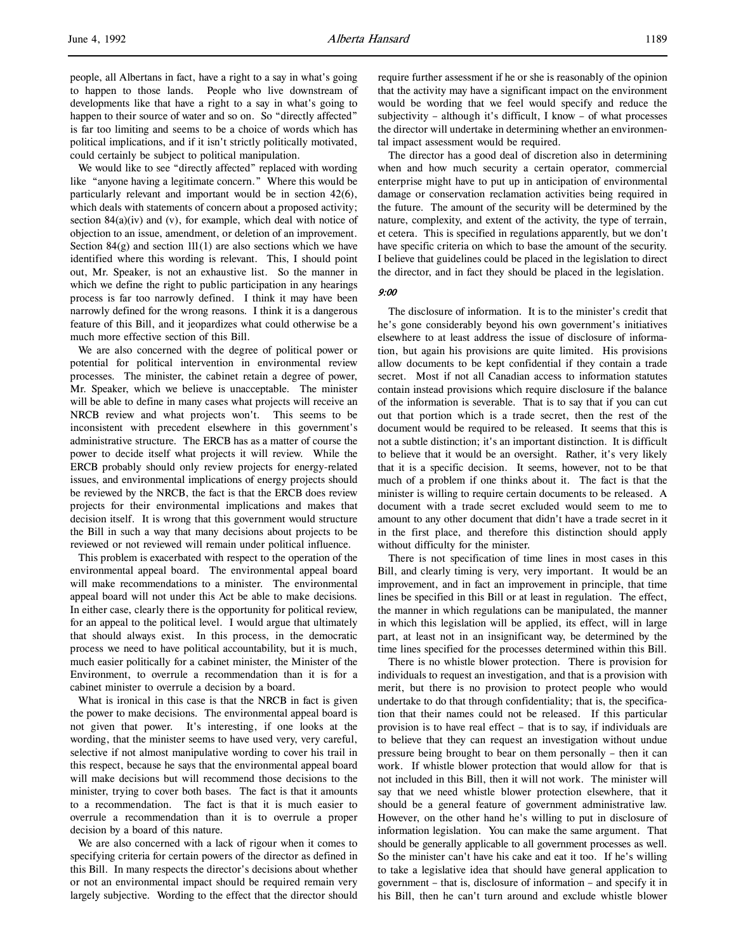people, all Albertans in fact, have a right to a say in what's going to happen to those lands. People who live downstream of developments like that have a right to a say in what's going to happen to their source of water and so on. So "directly affected" is far too limiting and seems to be a choice of words which has political implications, and if it isn't strictly politically motivated, could certainly be subject to political manipulation.

We would like to see "directly affected" replaced with wording like "anyone having a legitimate concern." Where this would be particularly relevant and important would be in section 42(6), which deals with statements of concern about a proposed activity; section  $84(a)(iv)$  and  $(v)$ , for example, which deal with notice of objection to an issue, amendment, or deletion of an improvement. Section  $84(g)$  and section  $111(1)$  are also sections which we have identified where this wording is relevant. This, I should point out, Mr. Speaker, is not an exhaustive list. So the manner in which we define the right to public participation in any hearings process is far too narrowly defined. I think it may have been narrowly defined for the wrong reasons. I think it is a dangerous feature of this Bill, and it jeopardizes what could otherwise be a much more effective section of this Bill.

We are also concerned with the degree of political power or potential for political intervention in environmental review processes. The minister, the cabinet retain a degree of power, Mr. Speaker, which we believe is unacceptable. The minister will be able to define in many cases what projects will receive an NRCB review and what projects won't. This seems to be inconsistent with precedent elsewhere in this government's administrative structure. The ERCB has as a matter of course the power to decide itself what projects it will review. While the ERCB probably should only review projects for energy-related issues, and environmental implications of energy projects should be reviewed by the NRCB, the fact is that the ERCB does review projects for their environmental implications and makes that decision itself. It is wrong that this government would structure the Bill in such a way that many decisions about projects to be reviewed or not reviewed will remain under political influence.

This problem is exacerbated with respect to the operation of the environmental appeal board. The environmental appeal board will make recommendations to a minister. The environmental appeal board will not under this Act be able to make decisions. In either case, clearly there is the opportunity for political review, for an appeal to the political level. I would argue that ultimately that should always exist. In this process, in the democratic process we need to have political accountability, but it is much, much easier politically for a cabinet minister, the Minister of the Environment, to overrule a recommendation than it is for a cabinet minister to overrule a decision by a board.

What is ironical in this case is that the NRCB in fact is given the power to make decisions. The environmental appeal board is not given that power. It's interesting, if one looks at the wording, that the minister seems to have used very, very careful, selective if not almost manipulative wording to cover his trail in this respect, because he says that the environmental appeal board will make decisions but will recommend those decisions to the minister, trying to cover both bases. The fact is that it amounts to a recommendation. The fact is that it is much easier to overrule a recommendation than it is to overrule a proper decision by a board of this nature.

We are also concerned with a lack of rigour when it comes to specifying criteria for certain powers of the director as defined in this Bill. In many respects the director's decisions about whether or not an environmental impact should be required remain very largely subjective. Wording to the effect that the director should

require further assessment if he or she is reasonably of the opinion that the activity may have a significant impact on the environment would be wording that we feel would specify and reduce the subjectivity – although it's difficult, I know – of what processes the director will undertake in determining whether an environmental impact assessment would be required.

The director has a good deal of discretion also in determining when and how much security a certain operator, commercial enterprise might have to put up in anticipation of environmental damage or conservation reclamation activities being required in the future. The amount of the security will be determined by the nature, complexity, and extent of the activity, the type of terrain, et cetera. This is specified in regulations apparently, but we don't have specific criteria on which to base the amount of the security. I believe that guidelines could be placed in the legislation to direct the director, and in fact they should be placed in the legislation.

#### 9:00

The disclosure of information. It is to the minister's credit that he's gone considerably beyond his own government's initiatives elsewhere to at least address the issue of disclosure of information, but again his provisions are quite limited. His provisions allow documents to be kept confidential if they contain a trade secret. Most if not all Canadian access to information statutes contain instead provisions which require disclosure if the balance of the information is severable. That is to say that if you can cut out that portion which is a trade secret, then the rest of the document would be required to be released. It seems that this is not a subtle distinction; it's an important distinction. It is difficult to believe that it would be an oversight. Rather, it's very likely that it is a specific decision. It seems, however, not to be that much of a problem if one thinks about it. The fact is that the minister is willing to require certain documents to be released. A document with a trade secret excluded would seem to me to amount to any other document that didn't have a trade secret in it in the first place, and therefore this distinction should apply without difficulty for the minister.

There is not specification of time lines in most cases in this Bill, and clearly timing is very, very important. It would be an improvement, and in fact an improvement in principle, that time lines be specified in this Bill or at least in regulation. The effect, the manner in which regulations can be manipulated, the manner in which this legislation will be applied, its effect, will in large part, at least not in an insignificant way, be determined by the time lines specified for the processes determined within this Bill.

There is no whistle blower protection. There is provision for individuals to request an investigation, and that is a provision with merit, but there is no provision to protect people who would undertake to do that through confidentiality; that is, the specification that their names could not be released. If this particular provision is to have real effect – that is to say, if individuals are to believe that they can request an investigation without undue pressure being brought to bear on them personally – then it can work. If whistle blower protection that would allow for that is not included in this Bill, then it will not work. The minister will say that we need whistle blower protection elsewhere, that it should be a general feature of government administrative law. However, on the other hand he's willing to put in disclosure of information legislation. You can make the same argument. That should be generally applicable to all government processes as well. So the minister can't have his cake and eat it too. If he's willing to take a legislative idea that should have general application to government – that is, disclosure of information – and specify it in his Bill, then he can't turn around and exclude whistle blower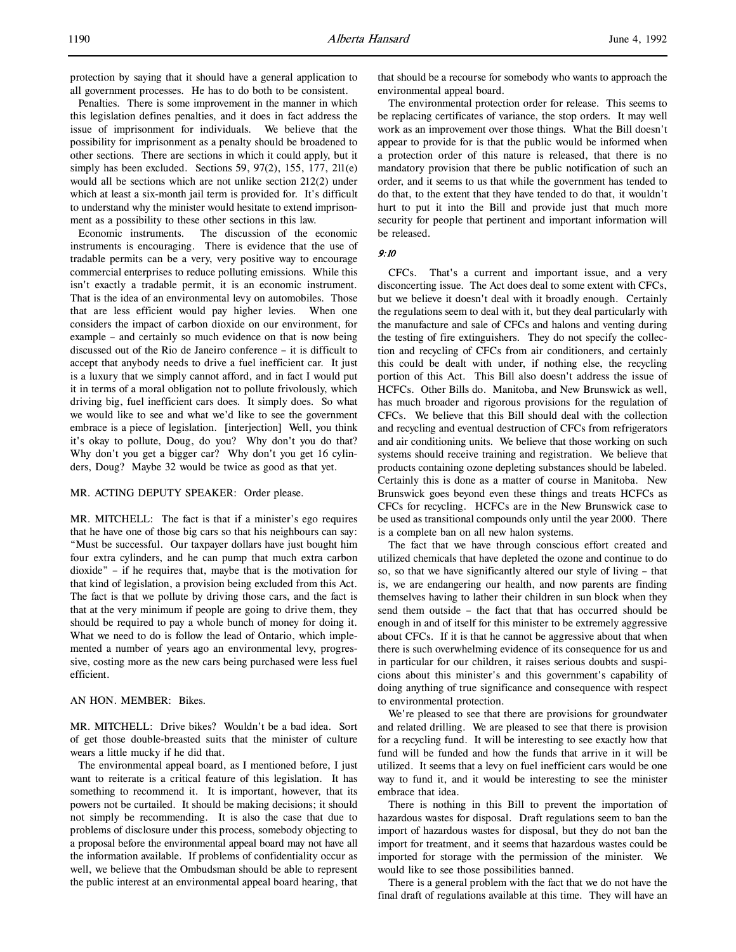Penalties. There is some improvement in the manner in which this legislation defines penalties, and it does in fact address the issue of imprisonment for individuals. We believe that the possibility for imprisonment as a penalty should be broadened to other sections. There are sections in which it could apply, but it simply has been excluded. Sections 59, 97(2), 155, 177, 211(e) would all be sections which are not unlike section 212(2) under which at least a six-month jail term is provided for. It's difficult to understand why the minister would hesitate to extend imprisonment as a possibility to these other sections in this law.

Economic instruments. The discussion of the economic instruments is encouraging. There is evidence that the use of tradable permits can be a very, very positive way to encourage commercial enterprises to reduce polluting emissions. While this isn't exactly a tradable permit, it is an economic instrument. That is the idea of an environmental levy on automobiles. Those that are less efficient would pay higher levies. When one considers the impact of carbon dioxide on our environment, for example – and certainly so much evidence on that is now being discussed out of the Rio de Janeiro conference – it is difficult to accept that anybody needs to drive a fuel inefficient car. It just is a luxury that we simply cannot afford, and in fact I would put it in terms of a moral obligation not to pollute frivolously, which driving big, fuel inefficient cars does. It simply does. So what we would like to see and what we'd like to see the government embrace is a piece of legislation. [interjection] Well, you think it's okay to pollute, Doug, do you? Why don't you do that? Why don't you get a bigger car? Why don't you get 16 cylinders, Doug? Maybe 32 would be twice as good as that yet.

### MR. ACTING DEPUTY SPEAKER: Order please.

MR. MITCHELL: The fact is that if a minister's ego requires that he have one of those big cars so that his neighbours can say: "Must be successful. Our taxpayer dollars have just bought him four extra cylinders, and he can pump that much extra carbon dioxide" – if he requires that, maybe that is the motivation for that kind of legislation, a provision being excluded from this Act. The fact is that we pollute by driving those cars, and the fact is that at the very minimum if people are going to drive them, they should be required to pay a whole bunch of money for doing it. What we need to do is follow the lead of Ontario, which implemented a number of years ago an environmental levy, progressive, costing more as the new cars being purchased were less fuel efficient.

#### AN HON. MEMBER: Bikes.

MR. MITCHELL: Drive bikes? Wouldn't be a bad idea. Sort of get those double-breasted suits that the minister of culture wears a little mucky if he did that.

The environmental appeal board, as I mentioned before, I just want to reiterate is a critical feature of this legislation. It has something to recommend it. It is important, however, that its powers not be curtailed. It should be making decisions; it should not simply be recommending. It is also the case that due to problems of disclosure under this process, somebody objecting to a proposal before the environmental appeal board may not have all the information available. If problems of confidentiality occur as well, we believe that the Ombudsman should be able to represent the public interest at an environmental appeal board hearing, that that should be a recourse for somebody who wants to approach the environmental appeal board.

The environmental protection order for release. This seems to be replacing certificates of variance, the stop orders. It may well work as an improvement over those things. What the Bill doesn't appear to provide for is that the public would be informed when a protection order of this nature is released, that there is no mandatory provision that there be public notification of such an order, and it seems to us that while the government has tended to do that, to the extent that they have tended to do that, it wouldn't hurt to put it into the Bill and provide just that much more security for people that pertinent and important information will be released.

### 9:10

CFCs. That's a current and important issue, and a very disconcerting issue. The Act does deal to some extent with CFCs, but we believe it doesn't deal with it broadly enough. Certainly the regulations seem to deal with it, but they deal particularly with the manufacture and sale of CFCs and halons and venting during the testing of fire extinguishers. They do not specify the collection and recycling of CFCs from air conditioners, and certainly this could be dealt with under, if nothing else, the recycling portion of this Act. This Bill also doesn't address the issue of HCFCs. Other Bills do. Manitoba, and New Brunswick as well, has much broader and rigorous provisions for the regulation of CFCs. We believe that this Bill should deal with the collection and recycling and eventual destruction of CFCs from refrigerators and air conditioning units. We believe that those working on such systems should receive training and registration. We believe that products containing ozone depleting substances should be labeled. Certainly this is done as a matter of course in Manitoba. New Brunswick goes beyond even these things and treats HCFCs as CFCs for recycling. HCFCs are in the New Brunswick case to be used as transitional compounds only until the year 2000. There is a complete ban on all new halon systems.

The fact that we have through conscious effort created and utilized chemicals that have depleted the ozone and continue to do so, so that we have significantly altered our style of living – that is, we are endangering our health, and now parents are finding themselves having to lather their children in sun block when they send them outside – the fact that that has occurred should be enough in and of itself for this minister to be extremely aggressive about CFCs. If it is that he cannot be aggressive about that when there is such overwhelming evidence of its consequence for us and in particular for our children, it raises serious doubts and suspicions about this minister's and this government's capability of doing anything of true significance and consequence with respect to environmental protection.

We're pleased to see that there are provisions for groundwater and related drilling. We are pleased to see that there is provision for a recycling fund. It will be interesting to see exactly how that fund will be funded and how the funds that arrive in it will be utilized. It seems that a levy on fuel inefficient cars would be one way to fund it, and it would be interesting to see the minister embrace that idea.

There is nothing in this Bill to prevent the importation of hazardous wastes for disposal. Draft regulations seem to ban the import of hazardous wastes for disposal, but they do not ban the import for treatment, and it seems that hazardous wastes could be imported for storage with the permission of the minister. We would like to see those possibilities banned.

There is a general problem with the fact that we do not have the final draft of regulations available at this time. They will have an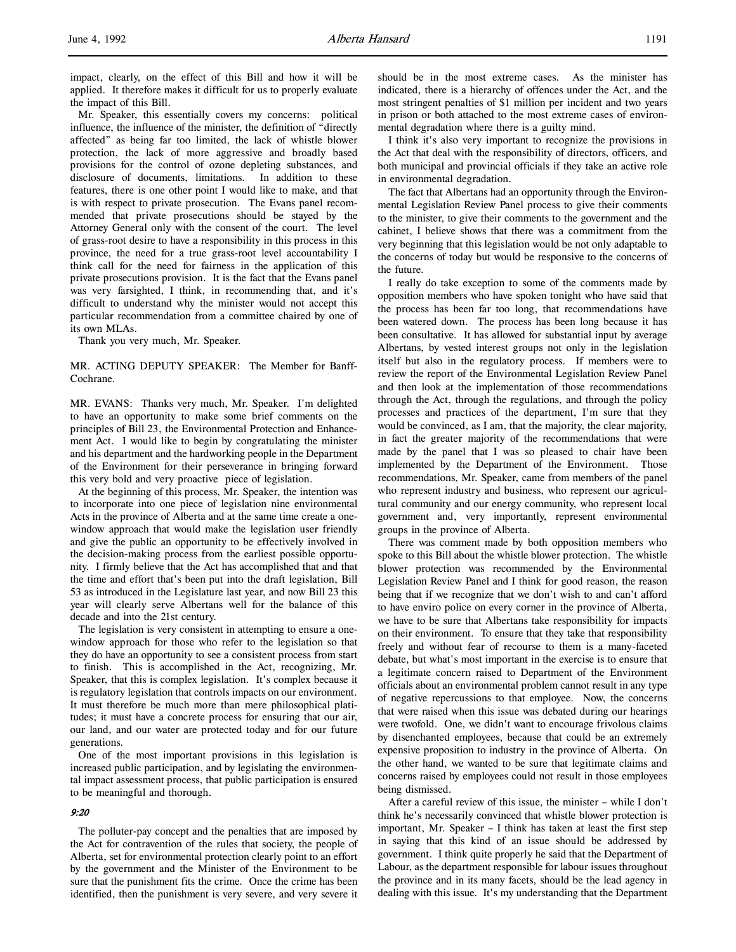impact, clearly, on the effect of this Bill and how it will be applied. It therefore makes it difficult for us to properly evaluate the impact of this Bill.

Mr. Speaker, this essentially covers my concerns: political influence, the influence of the minister, the definition of "directly affected" as being far too limited, the lack of whistle blower protection, the lack of more aggressive and broadly based provisions for the control of ozone depleting substances, and disclosure of documents, limitations. In addition to these features, there is one other point I would like to make, and that is with respect to private prosecution. The Evans panel recommended that private prosecutions should be stayed by the Attorney General only with the consent of the court. The level of grass-root desire to have a responsibility in this process in this province, the need for a true grass-root level accountability I think call for the need for fairness in the application of this private prosecutions provision. It is the fact that the Evans panel was very farsighted, I think, in recommending that, and it's difficult to understand why the minister would not accept this particular recommendation from a committee chaired by one of its own MLAs.

Thank you very much, Mr. Speaker.

MR. ACTING DEPUTY SPEAKER: The Member for Banff-Cochrane.

MR. EVANS: Thanks very much, Mr. Speaker. I'm delighted to have an opportunity to make some brief comments on the principles of Bill 23, the Environmental Protection and Enhancement Act. I would like to begin by congratulating the minister and his department and the hardworking people in the Department of the Environment for their perseverance in bringing forward this very bold and very proactive piece of legislation.

At the beginning of this process, Mr. Speaker, the intention was to incorporate into one piece of legislation nine environmental Acts in the province of Alberta and at the same time create a onewindow approach that would make the legislation user friendly and give the public an opportunity to be effectively involved in the decision-making process from the earliest possible opportunity. I firmly believe that the Act has accomplished that and that the time and effort that's been put into the draft legislation, Bill 53 as introduced in the Legislature last year, and now Bill 23 this year will clearly serve Albertans well for the balance of this decade and into the 21st century.

The legislation is very consistent in attempting to ensure a onewindow approach for those who refer to the legislation so that they do have an opportunity to see a consistent process from start to finish. This is accomplished in the Act, recognizing, Mr. Speaker, that this is complex legislation. It's complex because it is regulatory legislation that controls impacts on our environment. It must therefore be much more than mere philosophical platitudes; it must have a concrete process for ensuring that our air, our land, and our water are protected today and for our future generations.

One of the most important provisions in this legislation is increased public participation, and by legislating the environmental impact assessment process, that public participation is ensured to be meaningful and thorough.

### 9:20

The polluter-pay concept and the penalties that are imposed by the Act for contravention of the rules that society, the people of Alberta, set for environmental protection clearly point to an effort by the government and the Minister of the Environment to be sure that the punishment fits the crime. Once the crime has been identified, then the punishment is very severe, and very severe it should be in the most extreme cases. As the minister has indicated, there is a hierarchy of offences under the Act, and the most stringent penalties of \$1 million per incident and two years in prison or both attached to the most extreme cases of environmental degradation where there is a guilty mind.

I think it's also very important to recognize the provisions in the Act that deal with the responsibility of directors, officers, and both municipal and provincial officials if they take an active role in environmental degradation.

The fact that Albertans had an opportunity through the Environmental Legislation Review Panel process to give their comments to the minister, to give their comments to the government and the cabinet, I believe shows that there was a commitment from the very beginning that this legislation would be not only adaptable to the concerns of today but would be responsive to the concerns of the future.

I really do take exception to some of the comments made by opposition members who have spoken tonight who have said that the process has been far too long, that recommendations have been watered down. The process has been long because it has been consultative. It has allowed for substantial input by average Albertans, by vested interest groups not only in the legislation itself but also in the regulatory process. If members were to review the report of the Environmental Legislation Review Panel and then look at the implementation of those recommendations through the Act, through the regulations, and through the policy processes and practices of the department, I'm sure that they would be convinced, as I am, that the majority, the clear majority, in fact the greater majority of the recommendations that were made by the panel that I was so pleased to chair have been implemented by the Department of the Environment. Those recommendations, Mr. Speaker, came from members of the panel who represent industry and business, who represent our agricultural community and our energy community, who represent local government and, very importantly, represent environmental groups in the province of Alberta.

There was comment made by both opposition members who spoke to this Bill about the whistle blower protection. The whistle blower protection was recommended by the Environmental Legislation Review Panel and I think for good reason, the reason being that if we recognize that we don't wish to and can't afford to have enviro police on every corner in the province of Alberta, we have to be sure that Albertans take responsibility for impacts on their environment. To ensure that they take that responsibility freely and without fear of recourse to them is a many-faceted debate, but what's most important in the exercise is to ensure that a legitimate concern raised to Department of the Environment officials about an environmental problem cannot result in any type of negative repercussions to that employee. Now, the concerns that were raised when this issue was debated during our hearings were twofold. One, we didn't want to encourage frivolous claims by disenchanted employees, because that could be an extremely expensive proposition to industry in the province of Alberta. On the other hand, we wanted to be sure that legitimate claims and concerns raised by employees could not result in those employees being dismissed.

After a careful review of this issue, the minister – while I don't think he's necessarily convinced that whistle blower protection is important, Mr. Speaker – I think has taken at least the first step in saying that this kind of an issue should be addressed by government. I think quite properly he said that the Department of Labour, as the department responsible for labour issues throughout the province and in its many facets, should be the lead agency in dealing with this issue. It's my understanding that the Department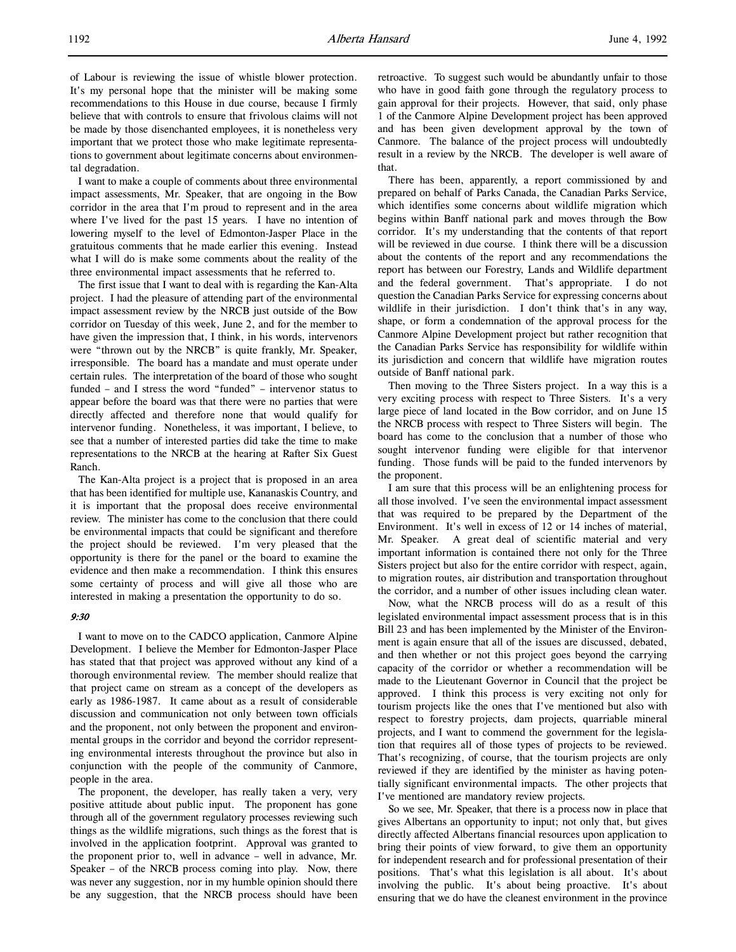of Labour is reviewing the issue of whistle blower protection. It's my personal hope that the minister will be making some recommendations to this House in due course, because I firmly believe that with controls to ensure that frivolous claims will not be made by those disenchanted employees, it is nonetheless very important that we protect those who make legitimate representations to government about legitimate concerns about environmental degradation.

I want to make a couple of comments about three environmental impact assessments, Mr. Speaker, that are ongoing in the Bow corridor in the area that I'm proud to represent and in the area where I've lived for the past 15 years. I have no intention of lowering myself to the level of Edmonton-Jasper Place in the gratuitous comments that he made earlier this evening. Instead what I will do is make some comments about the reality of the three environmental impact assessments that he referred to.

The first issue that I want to deal with is regarding the Kan-Alta project. I had the pleasure of attending part of the environmental impact assessment review by the NRCB just outside of the Bow corridor on Tuesday of this week, June 2, and for the member to have given the impression that, I think, in his words, intervenors were "thrown out by the NRCB" is quite frankly, Mr. Speaker, irresponsible. The board has a mandate and must operate under certain rules. The interpretation of the board of those who sought funded – and I stress the word "funded" – intervenor status to appear before the board was that there were no parties that were directly affected and therefore none that would qualify for intervenor funding. Nonetheless, it was important, I believe, to see that a number of interested parties did take the time to make representations to the NRCB at the hearing at Rafter Six Guest Ranch.

The Kan-Alta project is a project that is proposed in an area that has been identified for multiple use, Kananaskis Country, and it is important that the proposal does receive environmental review. The minister has come to the conclusion that there could be environmental impacts that could be significant and therefore the project should be reviewed. I'm very pleased that the opportunity is there for the panel or the board to examine the evidence and then make a recommendation. I think this ensures some certainty of process and will give all those who are interested in making a presentation the opportunity to do so.

# 9:30

I want to move on to the CADCO application, Canmore Alpine Development. I believe the Member for Edmonton-Jasper Place has stated that that project was approved without any kind of a thorough environmental review. The member should realize that that project came on stream as a concept of the developers as early as 1986-1987. It came about as a result of considerable discussion and communication not only between town officials and the proponent, not only between the proponent and environmental groups in the corridor and beyond the corridor representing environmental interests throughout the province but also in conjunction with the people of the community of Canmore, people in the area.

The proponent, the developer, has really taken a very, very positive attitude about public input. The proponent has gone through all of the government regulatory processes reviewing such things as the wildlife migrations, such things as the forest that is involved in the application footprint. Approval was granted to the proponent prior to, well in advance – well in advance, Mr. Speaker – of the NRCB process coming into play. Now, there was never any suggestion, nor in my humble opinion should there be any suggestion, that the NRCB process should have been retroactive. To suggest such would be abundantly unfair to those who have in good faith gone through the regulatory process to gain approval for their projects. However, that said, only phase 1 of the Canmore Alpine Development project has been approved and has been given development approval by the town of Canmore. The balance of the project process will undoubtedly result in a review by the NRCB. The developer is well aware of that.

There has been, apparently, a report commissioned by and prepared on behalf of Parks Canada, the Canadian Parks Service, which identifies some concerns about wildlife migration which begins within Banff national park and moves through the Bow corridor. It's my understanding that the contents of that report will be reviewed in due course. I think there will be a discussion about the contents of the report and any recommendations the report has between our Forestry, Lands and Wildlife department and the federal government. That's appropriate. I do not question the Canadian Parks Service for expressing concerns about wildlife in their jurisdiction. I don't think that's in any way, shape, or form a condemnation of the approval process for the Canmore Alpine Development project but rather recognition that the Canadian Parks Service has responsibility for wildlife within its jurisdiction and concern that wildlife have migration routes outside of Banff national park.

Then moving to the Three Sisters project. In a way this is a very exciting process with respect to Three Sisters. It's a very large piece of land located in the Bow corridor, and on June 15 the NRCB process with respect to Three Sisters will begin. The board has come to the conclusion that a number of those who sought intervenor funding were eligible for that intervenor funding. Those funds will be paid to the funded intervenors by the proponent.

I am sure that this process will be an enlightening process for all those involved. I've seen the environmental impact assessment that was required to be prepared by the Department of the Environment. It's well in excess of 12 or 14 inches of material, Mr. Speaker. A great deal of scientific material and very important information is contained there not only for the Three Sisters project but also for the entire corridor with respect, again, to migration routes, air distribution and transportation throughout the corridor, and a number of other issues including clean water.

Now, what the NRCB process will do as a result of this legislated environmental impact assessment process that is in this Bill 23 and has been implemented by the Minister of the Environment is again ensure that all of the issues are discussed, debated, and then whether or not this project goes beyond the carrying capacity of the corridor or whether a recommendation will be made to the Lieutenant Governor in Council that the project be approved. I think this process is very exciting not only for tourism projects like the ones that I've mentioned but also with respect to forestry projects, dam projects, quarriable mineral projects, and I want to commend the government for the legislation that requires all of those types of projects to be reviewed. That's recognizing, of course, that the tourism projects are only reviewed if they are identified by the minister as having potentially significant environmental impacts. The other projects that I've mentioned are mandatory review projects.

So we see, Mr. Speaker, that there is a process now in place that gives Albertans an opportunity to input; not only that, but gives directly affected Albertans financial resources upon application to bring their points of view forward, to give them an opportunity for independent research and for professional presentation of their positions. That's what this legislation is all about. It's about involving the public. It's about being proactive. It's about ensuring that we do have the cleanest environment in the province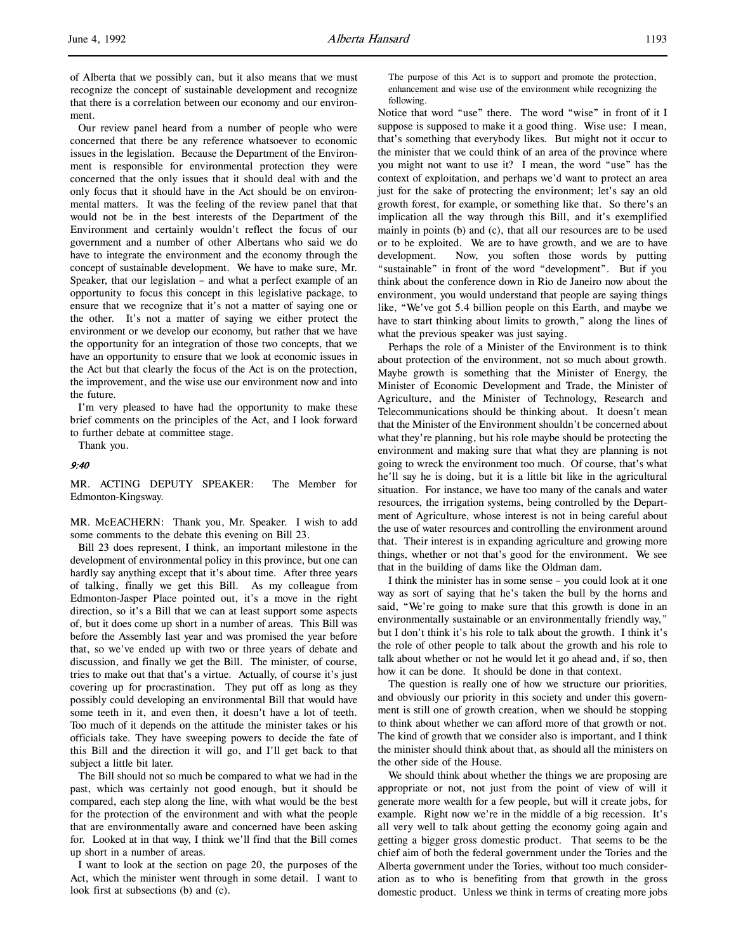Our review panel heard from a number of people who were concerned that there be any reference whatsoever to economic issues in the legislation. Because the Department of the Environment is responsible for environmental protection they were concerned that the only issues that it should deal with and the only focus that it should have in the Act should be on environmental matters. It was the feeling of the review panel that that would not be in the best interests of the Department of the Environment and certainly wouldn't reflect the focus of our government and a number of other Albertans who said we do have to integrate the environment and the economy through the concept of sustainable development. We have to make sure, Mr. Speaker, that our legislation – and what a perfect example of an opportunity to focus this concept in this legislative package, to ensure that we recognize that it's not a matter of saying one or the other. It's not a matter of saying we either protect the environment or we develop our economy, but rather that we have the opportunity for an integration of those two concepts, that we have an opportunity to ensure that we look at economic issues in the Act but that clearly the focus of the Act is on the protection, the improvement, and the wise use our environment now and into the future.

I'm very pleased to have had the opportunity to make these brief comments on the principles of the Act, and I look forward to further debate at committee stage.

Thank you.

### 9:40

MR. ACTING DEPUTY SPEAKER: The Member for Edmonton-Kingsway.

MR. McEACHERN: Thank you, Mr. Speaker. I wish to add some comments to the debate this evening on Bill 23.

Bill 23 does represent, I think, an important milestone in the development of environmental policy in this province, but one can hardly say anything except that it's about time. After three years of talking, finally we get this Bill. As my colleague from Edmonton-Jasper Place pointed out, it's a move in the right direction, so it's a Bill that we can at least support some aspects of, but it does come up short in a number of areas. This Bill was before the Assembly last year and was promised the year before that, so we've ended up with two or three years of debate and discussion, and finally we get the Bill. The minister, of course, tries to make out that that's a virtue. Actually, of course it's just covering up for procrastination. They put off as long as they possibly could developing an environmental Bill that would have some teeth in it, and even then, it doesn't have a lot of teeth. Too much of it depends on the attitude the minister takes or his officials take. They have sweeping powers to decide the fate of this Bill and the direction it will go, and I'll get back to that subject a little bit later.

The Bill should not so much be compared to what we had in the past, which was certainly not good enough, but it should be compared, each step along the line, with what would be the best for the protection of the environment and with what the people that are environmentally aware and concerned have been asking for. Looked at in that way, I think we'll find that the Bill comes up short in a number of areas.

I want to look at the section on page 20, the purposes of the Act, which the minister went through in some detail. I want to look first at subsections (b) and (c).

The purpose of this Act is to support and promote the protection, enhancement and wise use of the environment while recognizing the following.

Notice that word "use" there. The word "wise" in front of it I suppose is supposed to make it a good thing. Wise use: I mean, that's something that everybody likes. But might not it occur to the minister that we could think of an area of the province where you might not want to use it? I mean, the word "use" has the context of exploitation, and perhaps we'd want to protect an area just for the sake of protecting the environment; let's say an old growth forest, for example, or something like that. So there's an implication all the way through this Bill, and it's exemplified mainly in points (b) and (c), that all our resources are to be used or to be exploited. We are to have growth, and we are to have development. Now, you soften those words by putting "sustainable" in front of the word "development". But if you think about the conference down in Rio de Janeiro now about the environment, you would understand that people are saying things like, "We've got 5.4 billion people on this Earth, and maybe we have to start thinking about limits to growth," along the lines of what the previous speaker was just saying.

Perhaps the role of a Minister of the Environment is to think about protection of the environment, not so much about growth. Maybe growth is something that the Minister of Energy, the Minister of Economic Development and Trade, the Minister of Agriculture, and the Minister of Technology, Research and Telecommunications should be thinking about. It doesn't mean that the Minister of the Environment shouldn't be concerned about what they're planning, but his role maybe should be protecting the environment and making sure that what they are planning is not going to wreck the environment too much. Of course, that's what he'll say he is doing, but it is a little bit like in the agricultural situation. For instance, we have too many of the canals and water resources, the irrigation systems, being controlled by the Department of Agriculture, whose interest is not in being careful about the use of water resources and controlling the environment around that. Their interest is in expanding agriculture and growing more things, whether or not that's good for the environment. We see that in the building of dams like the Oldman dam.

I think the minister has in some sense – you could look at it one way as sort of saying that he's taken the bull by the horns and said, "We're going to make sure that this growth is done in an environmentally sustainable or an environmentally friendly way," but I don't think it's his role to talk about the growth. I think it's the role of other people to talk about the growth and his role to talk about whether or not he would let it go ahead and, if so, then how it can be done. It should be done in that context.

The question is really one of how we structure our priorities, and obviously our priority in this society and under this government is still one of growth creation, when we should be stopping to think about whether we can afford more of that growth or not. The kind of growth that we consider also is important, and I think the minister should think about that, as should all the ministers on the other side of the House.

We should think about whether the things we are proposing are appropriate or not, not just from the point of view of will it generate more wealth for a few people, but will it create jobs, for example. Right now we're in the middle of a big recession. It's all very well to talk about getting the economy going again and getting a bigger gross domestic product. That seems to be the chief aim of both the federal government under the Tories and the Alberta government under the Tories, without too much consideration as to who is benefiting from that growth in the gross domestic product. Unless we think in terms of creating more jobs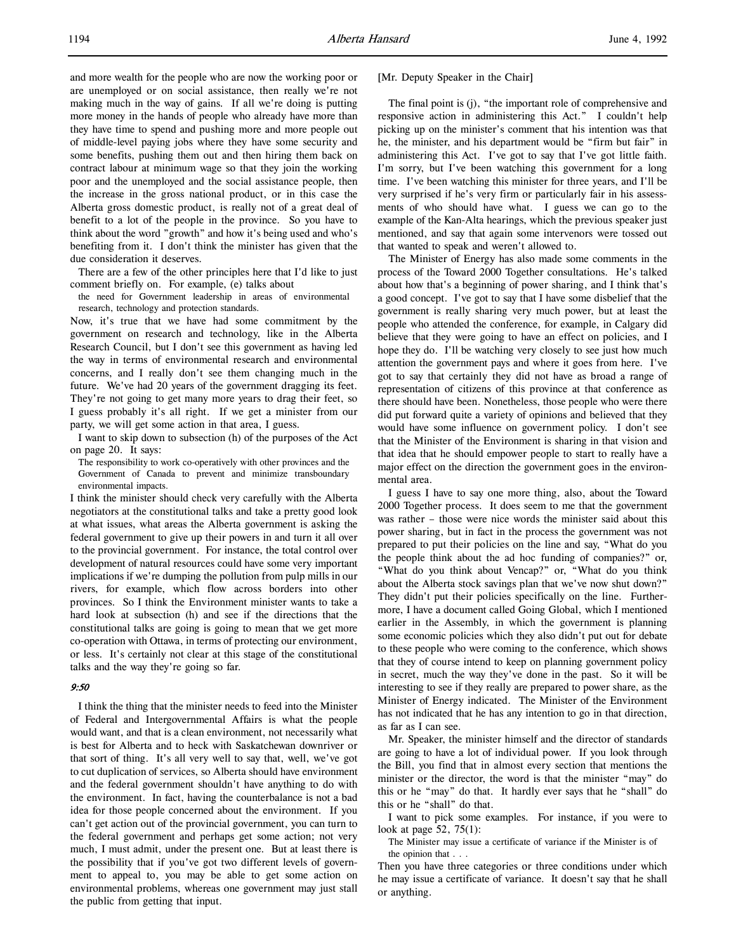and more wealth for the people who are now the working poor or are unemployed or on social assistance, then really we're not making much in the way of gains. If all we're doing is putting more money in the hands of people who already have more than they have time to spend and pushing more and more people out of middle-level paying jobs where they have some security and some benefits, pushing them out and then hiring them back on contract labour at minimum wage so that they join the working poor and the unemployed and the social assistance people, then the increase in the gross national product, or in this case the Alberta gross domestic product, is really not of a great deal of benefit to a lot of the people in the province. So you have to think about the word "growth" and how it's being used and who's benefiting from it. I don't think the minister has given that the due consideration it deserves.

There are a few of the other principles here that I'd like to just comment briefly on. For example, (e) talks about

the need for Government leadership in areas of environmental research, technology and protection standards.

Now, it's true that we have had some commitment by the government on research and technology, like in the Alberta Research Council, but I don't see this government as having led the way in terms of environmental research and environmental concerns, and I really don't see them changing much in the future. We've had 20 years of the government dragging its feet. They're not going to get many more years to drag their feet, so I guess probably it's all right. If we get a minister from our party, we will get some action in that area, I guess.

I want to skip down to subsection (h) of the purposes of the Act on page 20. It says:

The responsibility to work co-operatively with other provinces and the Government of Canada to prevent and minimize transboundary environmental impacts.

I think the minister should check very carefully with the Alberta negotiators at the constitutional talks and take a pretty good look at what issues, what areas the Alberta government is asking the federal government to give up their powers in and turn it all over to the provincial government. For instance, the total control over development of natural resources could have some very important implications if we're dumping the pollution from pulp mills in our rivers, for example, which flow across borders into other provinces. So I think the Environment minister wants to take a hard look at subsection (h) and see if the directions that the constitutional talks are going is going to mean that we get more co-operation with Ottawa, in terms of protecting our environment, or less. It's certainly not clear at this stage of the constitutional talks and the way they're going so far.

# 9:50

I think the thing that the minister needs to feed into the Minister of Federal and Intergovernmental Affairs is what the people would want, and that is a clean environment, not necessarily what is best for Alberta and to heck with Saskatchewan downriver or that sort of thing. It's all very well to say that, well, we've got to cut duplication of services, so Alberta should have environment and the federal government shouldn't have anything to do with the environment. In fact, having the counterbalance is not a bad idea for those people concerned about the environment. If you can't get action out of the provincial government, you can turn to the federal government and perhaps get some action; not very much, I must admit, under the present one. But at least there is the possibility that if you've got two different levels of government to appeal to, you may be able to get some action on environmental problems, whereas one government may just stall the public from getting that input.

### [Mr. Deputy Speaker in the Chair]

The final point is (j), "the important role of comprehensive and responsive action in administering this Act." I couldn't help picking up on the minister's comment that his intention was that he, the minister, and his department would be "firm but fair" in administering this Act. I've got to say that I've got little faith. I'm sorry, but I've been watching this government for a long time. I've been watching this minister for three years, and I'll be very surprised if he's very firm or particularly fair in his assessments of who should have what. I guess we can go to the example of the Kan-Alta hearings, which the previous speaker just mentioned, and say that again some intervenors were tossed out that wanted to speak and weren't allowed to.

The Minister of Energy has also made some comments in the process of the Toward 2000 Together consultations. He's talked about how that's a beginning of power sharing, and I think that's a good concept. I've got to say that I have some disbelief that the government is really sharing very much power, but at least the people who attended the conference, for example, in Calgary did believe that they were going to have an effect on policies, and I hope they do. I'll be watching very closely to see just how much attention the government pays and where it goes from here. I've got to say that certainly they did not have as broad a range of representation of citizens of this province at that conference as there should have been. Nonetheless, those people who were there did put forward quite a variety of opinions and believed that they would have some influence on government policy. I don't see that the Minister of the Environment is sharing in that vision and that idea that he should empower people to start to really have a major effect on the direction the government goes in the environmental area.

I guess I have to say one more thing, also, about the Toward 2000 Together process. It does seem to me that the government was rather – those were nice words the minister said about this power sharing, but in fact in the process the government was not prepared to put their policies on the line and say, "What do you the people think about the ad hoc funding of companies?" or, "What do you think about Vencap?" or, "What do you think about the Alberta stock savings plan that we've now shut down?" They didn't put their policies specifically on the line. Furthermore, I have a document called Going Global, which I mentioned earlier in the Assembly, in which the government is planning some economic policies which they also didn't put out for debate to these people who were coming to the conference, which shows that they of course intend to keep on planning government policy in secret, much the way they've done in the past. So it will be interesting to see if they really are prepared to power share, as the Minister of Energy indicated. The Minister of the Environment has not indicated that he has any intention to go in that direction, as far as I can see.

Mr. Speaker, the minister himself and the director of standards are going to have a lot of individual power. If you look through the Bill, you find that in almost every section that mentions the minister or the director, the word is that the minister "may" do this or he "may" do that. It hardly ever says that he "shall" do this or he "shall" do that.

I want to pick some examples. For instance, if you were to look at page 52, 75(1):

The Minister may issue a certificate of variance if the Minister is of the opinion that . . .

Then you have three categories or three conditions under which he may issue a certificate of variance. It doesn't say that he shall or anything.